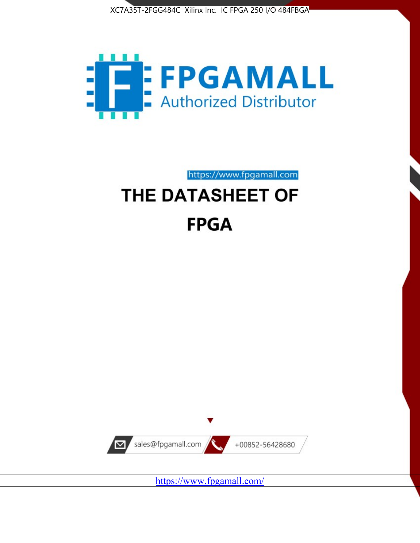



https://www.fpgamall.com THE DATASHEET OF

# **FPGA**



<https://www.fpgamall.com/>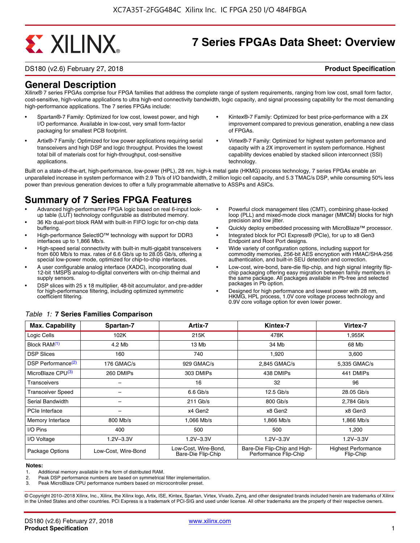# **EXALINX**

## **7 Series FPGAs Data Sheet: Overview**

DS180 (v2.6) February 27, 2018 **Product Specification**

## **General Description**

Xilinx® 7 series FPGAs comprise four FPGA families that address the complete range of system requirements, ranging from low cost, small form factor, cost-sensitive, high-volume applications to ultra high-end connectivity bandwidth, logic capacity, and signal processing capability for the most demanding high-performance applications. The 7 series FPGAs include:

- Spartan®-7 Family: Optimized for low cost, lowest power, and high I/O performance. Available in low-cost, very small form-factor packaging for smallest PCB footprint.
- Artix®-7 Family: Optimized for low power applications requiring serial transceivers and high DSP and logic throughput. Provides the lowest total bill of materials cost for high-throughput, cost-sensitive applications.
- Kintex®-7 Family: Optimized for best price-performance with a 2X improvement compared to previous generation, enabling a new class of FPGAs.
- Virtex®-7 Family: Optimized for highest system performance and capacity with a 2X improvement in system performance. Highest capability devices enabled by stacked silicon interconnect (SSI) technology

Built on a state-of-the-art, high-performance, low-power (HPL), 28 nm, high-k metal gate (HKMG) process technology, 7 series FPGAs enable an unparalleled increase in system performance with 2.9 Tb/s of I/O bandwidth, 2 million logic cell capacity, and 5.3 TMAC/s DSP, while consuming 50% less power than previous generation devices to offer a fully programmable alternative to ASSPs and ASICs.

## **Summary of 7 Series FPGA Features**

- Advanced high-performance FPGA logic based on real 6-input lookup table (LUT) technology configurable as distributed memory.
- 36 Kb dual-port block RAM with built-in FIFO logic for on-chip data buffering.
- High-performance SelectIO™ technology with support for DDR3 interfaces up to 1,866 Mb/s.
- High-speed serial connectivity with built-in multi-gigabit transceivers from 600 Mb/s to max. rates of 6.6 Gb/s up to 28.05 Gb/s, offering a special low-power mode, optimized for chip-to-chip interfaces.
- A user configurable analog interface (XADC), incorporating dual 12-bit 1MSPS analog-to-digital converters with on-chip thermal and supply sensors.
- DSP slices with 25 x 18 multiplier, 48-bit accumulator, and pre-adder for high-performance filtering, including optimized symmetric coefficient filtering.
- Powerful clock management tiles (CMT), combining phase-locked loop (PLL) and mixed-mode clock manager (MMCM) blocks for high precision and low jitter.
- Quickly deploy embedded processing with MicroBlaze™ processor.
- Integrated block for PCI Express® (PCIe), for up to x8 Gen3 Endpoint and Root Port designs.
- Wide variety of configuration options, including support for commodity memories, 256-bit AES encryption with HMAC/SHA-256 authentication, and built-in SEU detection and correction.
- Low-cost, wire-bond, bare-die flip-chip, and high signal integrity flipchip packaging offering easy migration between family members in the same package. All packages available in Pb-free and selected packages in Pb option.
- Designed for high performance and lowest power with 28 nm, HKMG, HPL process, 1.0V core voltage process technology and 0.9V core voltage option for even lower power.

| <b>Max. Capability</b>         | Spartan-7           | Artix-7                                    | Kintex-7                                              | Virtex-7                                |
|--------------------------------|---------------------|--------------------------------------------|-------------------------------------------------------|-----------------------------------------|
| Logic Cells                    | 102K                | 215K                                       | 478K                                                  | 1,955K                                  |
| Block RAM <sup>(1)</sup>       | 4.2 Mb              | 13 Mb                                      | 34 Mb                                                 | 68 Mb                                   |
| <b>DSP Slices</b>              | 160                 | 740                                        | 1,920                                                 | 3,600                                   |
| DSP Performance <sup>(2)</sup> | 176 GMAC/s          | 929 GMAC/s                                 | 2,845 GMAC/s                                          | 5,335 GMAC/s                            |
| MicroBlaze CPU <sup>(3)</sup>  | 260 DMIPs           | 303 DMIPs                                  | 438 DMIPs                                             | 441 DMIPs                               |
| Transceivers                   |                     | 16                                         | 32                                                    | 96                                      |
| <b>Transceiver Speed</b>       |                     | $6.6$ Gb/s                                 | $12.5$ Gb/s                                           | 28.05 Gb/s                              |
| Serial Bandwidth               |                     | $211$ Gb/s                                 | 800 Gb/s                                              | 2,784 Gb/s                              |
| <b>PCIe Interface</b>          | -                   | x4 Gen2                                    | x8 Gen2                                               | x8 Gen3                                 |
| Memory Interface               | 800 Mb/s            | 1.066 Mb/s                                 | 1.866 Mb/s                                            | 1.866 Mb/s                              |
| I/O Pins                       | 400                 | 500                                        | 500                                                   | 1,200                                   |
| I/O Voltage                    | $1.2V - 3.3V$       | $1.2V - 3.3V$                              | $1.2V - 3.3V$                                         | $1.2V - 3.3V$                           |
| Package Options                | Low-Cost. Wire-Bond | Low-Cost, Wire-Bond,<br>Bare-Die Flip-Chip | Bare-Die Flip-Chip and High-<br>Performance Flip-Chip | <b>Highest Performance</b><br>Flip-Chip |

#### *Table 1:* **7 Series Families Comparison**

#### **Notes:**

1. Additional memory available in the form of distributed RAM.

2. Peak DSP performance numbers are based on symmetrical filter implementation.<br>3. Peak MicroBlaze CPU performance numbers based on microcontroller preset.

Peak MicroBlaze CPU performance numbers based on microcontroller preset.

© Copyright 2010–2018 Xilinx, Inc., Xilinx, the Xilinx logo, Artix, ISE, Kintex, Spartan, Virtex, Vivado, Zynq, and other designated brands included herein are trademarks of Xilinx in the United States and other countries. PCI Express is a trademark of PCI-SIG and used under license. All other trademarks are the property of their respective owners.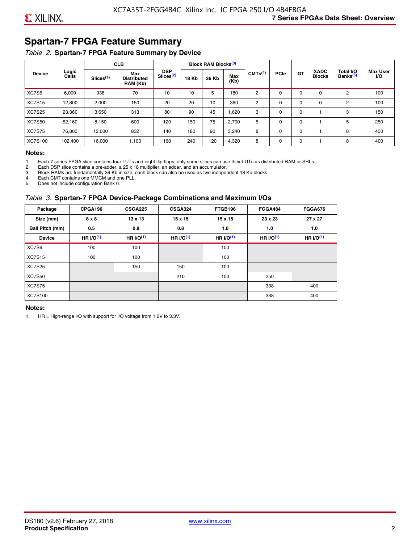## **Spartan-7 FPGA Feature Summary**

#### *Table 2:* **Spartan-7 FPGA Feature Summary by Device**

|               |                |                       | <b>CLB</b>                                                                                                                                                                                 |             |     | <b>Block RAM Blocks</b> <sup>(3)</sup> |                                   |                              |          |             |          |   |     |
|---------------|----------------|-----------------------|--------------------------------------------------------------------------------------------------------------------------------------------------------------------------------------------|-------------|-----|----------------------------------------|-----------------------------------|------------------------------|----------|-------------|----------|---|-----|
| <b>Device</b> | Logic<br>Cells | Slices <sup>(1)</sup> | <b>DSP</b><br>CMTS <sup>(4)</sup><br>Max<br>Slices <sup>(2)</sup><br>Max<br><b>18 Kb</b><br>36 Kb<br><b>Distributed</b><br>(Kb)<br>RAM (Kb)<br>70<br>10<br>5<br>180<br>10<br>2<br>$\Omega$ | <b>PCle</b> | GT  | <b>XADC</b><br><b>Blocks</b>           | Total I/O<br>Banks <sup>(5)</sup> | <b>Max User</b><br><b>VO</b> |          |             |          |   |     |
| XC7S6         | 6,000          | 938                   |                                                                                                                                                                                            |             |     |                                        |                                   |                              |          | $\Omega$    | $\Omega$ | 2 | 100 |
| <b>XC7S15</b> | 12,800         | 2,000                 | 150                                                                                                                                                                                        | 20          | 20  | 10                                     | 360                               | 2                            | 0        | $\mathbf 0$ | 0        | 2 | 100 |
| <b>XC7S25</b> | 23,360         | 3,650                 | 313                                                                                                                                                                                        | 80          | 90  | 45                                     | 1,620                             | 3                            | 0        | 0           |          | 3 | 150 |
| <b>XC7S50</b> | 52,160         | 8,150                 | 600                                                                                                                                                                                        | 120         | 150 | 75                                     | 2,700                             | 5                            | $\Omega$ | 0           |          | 5 | 250 |
| <b>XC7S75</b> | 76,800         | 12.000                | 832                                                                                                                                                                                        | 140         | 180 | 90                                     | 3,240                             | 8                            | 0        | 0           |          | 8 | 400 |
| XC7S100       | 102,400        | 16,000                | 1,100                                                                                                                                                                                      | 160         | 240 | 120                                    | 4,320                             | 8                            | 0        | $\mathbf 0$ |          | 8 | 400 |

#### **Notes:**

1. Each 7 series FPGA slice contains four LUTs and eight flip-flops; only some slices can use their LUTs as distributed RAM or SRLs.<br>2. Each DSP slice contains a pre-adder. a 25 x 18 multiplier. an adder. and an accumulato

2. Each DSP slice contains a pre-adder, a 25 x 18 multiplier, an adder, and an accumulator. 3. Block RAMs are fundamentally 36 Kb in size; each block can also be used as two independent 18 Kb blocks.

4. Each CMT contains one MMCM and one PLL.

5. Does not include configuration Bank 0.

#### *Table 3:* **Spartan-7 FPGA Device-Package Combinations and Maximum I/Os**

| Package         | CPGA196    | <b>CSGA225</b> | <b>CSGA324</b> | FTGB196    | <b>FGGA484</b> | <b>FGGA676</b> |
|-----------------|------------|----------------|----------------|------------|----------------|----------------|
| Size (mm)       | 8 x 8      | 13 x 13        | $15 \times 15$ | 15 x 15    | 23 x 23        | 27 x 27        |
| Ball Pitch (mm) | 0.5        | 0.8            | 0.8            | 1.0        | 1.0            | 1.0            |
| <b>Device</b>   | HR $UO(1)$ | HR $UO(1)$     | HR $UO(1)$     | HR $UO(1)$ | HR $UO(1)$     | HR $l/O(1)$    |
| XC7S6           | 100        | 100            |                | 100        |                |                |
| <b>XC7S15</b>   | 100        | 100            |                | 100        |                |                |
| <b>XC7S25</b>   |            | 150            | 150            | 100        |                |                |
| <b>XC7S50</b>   |            |                | 210            | 100        | 250            |                |
| <b>XC7S75</b>   |            |                |                |            | 338            | 400            |
| <b>XC7S100</b>  |            |                |                |            | 338            | 400            |

#### **Notes:**

1. HR = High-range I/O with support for I/O voltage from 1.2V to 3.3V.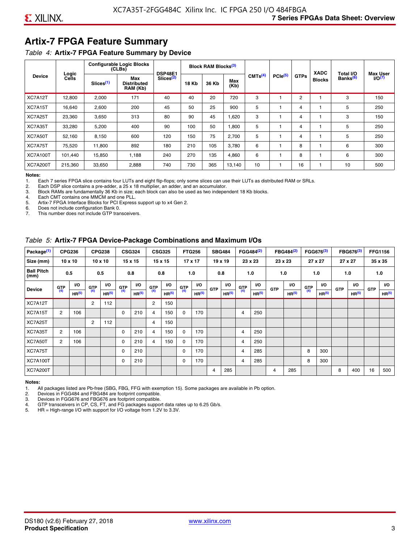## **Artix-7 FPGA Feature Summary**

#### *Table 4:* **Artix-7 FPGA Feature Summary by Device**

|                 |                |                       | <b>Configurable Logic Blocks</b><br>(CLBs) | <b>DSP48E1</b>        |              | Block RAM Blocks <sup>(3)</sup> |             |                     |              |             | <b>XADC</b>   | Total I/O            | <b>Max User</b>    |
|-----------------|----------------|-----------------------|--------------------------------------------|-----------------------|--------------|---------------------------------|-------------|---------------------|--------------|-------------|---------------|----------------------|--------------------|
| <b>Device</b>   | Logic<br>Cells | Slices <sup>(1)</sup> | Max<br><b>Distributed</b><br>RAM (Kb)      | Slices <sup>(2)</sup> | <b>18 Kb</b> | 36 Kb                           | Max<br>(Kb) | CMTS <sup>(4)</sup> | $PCle^{(5)}$ | <b>GTPs</b> | <b>Blocks</b> | Banks <sup>(6)</sup> | I/O <sub>(7)</sub> |
| XC7A12T         | 12,800         | 2,000                 | 171                                        | 40                    | 40           | 20                              | 720         | 3                   |              | 2           |               | 3                    | 150                |
| XC7A15T         | 16,640         | 2,600                 | 200                                        | 45                    | 50           | 25                              | 900         | 5                   |              | 4           |               | 5                    | 250                |
| XC7A25T         | 23,360         | 3,650                 | 313                                        | 80                    | 90           | 45                              | .620        | 3                   |              | 4           |               | 3                    | 150                |
| XC7A35T         | 33,280         | 5,200                 | 400                                        | 90                    | 100          | 50                              | 1,800       | 5                   |              | 4           |               | 5                    | 250                |
| XC7A50T         | 52,160         | 8.150                 | 600                                        | 120                   | 150          | 75                              | 2.700       | 5                   |              | 4           |               | 5                    | 250                |
| XC7A75T         | 75,520         | 11,800                | 892                                        | 180                   | 210          | 105                             | 3,780       | 6                   |              | 8           |               | 6                    | 300                |
| <b>XC7A100T</b> | 101.440        | 15,850                | 1.188                                      | 240                   | 270          | 135                             | 4,860       | 6                   |              | 8           |               | 6                    | 300                |
| <b>XC7A200T</b> | 215,360        | 33,650                | 2,888                                      | 740                   | 730          | 365                             | 13,140      | 10                  |              | 16          |               | 10                   | 500                |

**Notes:**  Each 7 series FPGA slice contains four LUTs and eight flip-flops; only some slices can use their LUTs as distributed RAM or SRLs.

2. Each DSP slice contains a pre-adder, a 25 x 18 multiplier, an adder, and an accumulator.

3. Block RAMs are fundamentally 36 Kb in size; each block can also be used as two independent 18 Kb blocks.

4. Each CMT contains one MMCM and one PLL.<br>5. Artix-7 FPGA Interface Blocks for PCI Express

5. Artix-7 FPGA Interface Blocks for PCI Express support up to x4 Gen 2.<br>6. Does not include configuration Bank 0.

6. Does not include configuration Bank 0.

This number does not include GTP transceivers.

#### *Table 5:* **Artix-7 FPGA Device-Package Combinations and Maximum I/Os**

| Package <sup>(1)</sup>    |                | <b>CPG236</b>     |            | <b>CPG238</b>     |       | <b>CSG324</b>     |                | <b>CSG325</b>     |      | <b>FTG256</b>     |            | <b>SBG484</b>     |                | FGG484 <sup>(2)</sup> |            | FBG484 <sup>(2)</sup> |       | FGG676 <sup>(3)</sup> |            | FBG676 <sup>(3)</sup> |            | <b>FFG1156</b> |
|---------------------------|----------------|-------------------|------------|-------------------|-------|-------------------|----------------|-------------------|------|-------------------|------------|-------------------|----------------|-----------------------|------------|-----------------------|-------|-----------------------|------------|-----------------------|------------|----------------|
| Size (mm)                 |                | $10 \times 10$    |            | $10 \times 10$    |       | $15 \times 15$    |                | 15 x 15           |      | $17 \times 17$    |            | $19 \times 19$    |                | 23 x 23               |            | 23 x 23               |       | 27 x 27               |            | 27 x 27               |            | 35 x 35        |
| <b>Ball Pitch</b><br>(mm) |                | 0.5               |            | 0.5               |       | 0.8               |                | 0.8               |      | 1.0               |            | 0.8               |                | 1.0                   |            | 1.0                   |       | 1.0                   |            | 1.0                   |            | 1.0            |
| <b>Device</b>             | G(T)           | <b>VO</b>         | <b>GTP</b> | <b>VO</b>         | G(TP) | I/O               | G(TP)          | <b>VO</b>         | G(TP | VO.               | <b>GTP</b> | <b>VO</b>         | G(TP)          | VO.                   | <b>GTP</b> | VO.                   | G(TP) | <b>VO</b>             | <b>GTP</b> | <b>I/O</b>            | <b>GTP</b> | <b>VO</b>      |
|                           |                | HR <sup>(5)</sup> | (4)        | HR <sup>(5)</sup> |       | HR <sup>(5)</sup> |                | HR <sup>(5)</sup> |      | HR <sup>(5)</sup> |            | HR <sup>(5)</sup> |                | HR <sup>(5)</sup>     |            | HR <sup>(5)</sup>     |       | HR <sup>(5)</sup>     |            | HR <sup>(5)</sup>     |            | HR(5)          |
| XC7A12T                   |                |                   | 2          | 112               |       |                   | $\overline{2}$ | 150               |      |                   |            |                   |                |                       |            |                       |       |                       |            |                       |            |                |
| XC7A15T                   | 2              | 106               |            |                   | 0     | 210               | $\overline{4}$ | 150               | 0    | 170               |            |                   | 4              | 250                   |            |                       |       |                       |            |                       |            |                |
| XC7A25T                   |                |                   | 2          | 112               |       |                   | 4              | 150               |      |                   |            |                   |                |                       |            |                       |       |                       |            |                       |            |                |
| XC7A35T                   | $\overline{2}$ | 106               |            |                   | 0     | 210               | 4              | 150               | 0    | 170               |            |                   | 4              | 250                   |            |                       |       |                       |            |                       |            |                |
| XC7A50T                   | 2              | 106               |            |                   | 0     | 210               | 4              | 150               | 0    | 170               |            |                   | 4              | 250                   |            |                       |       |                       |            |                       |            |                |
| XC7A75T                   |                |                   |            |                   | 0     | 210               |                |                   | 0    | 170               |            |                   | 4              | 285                   |            |                       | 8     | 300                   |            |                       |            |                |
| <b>XC7A100T</b>           |                |                   |            |                   | 0     | 210               |                |                   | 0    | 170               |            |                   | $\overline{4}$ | 285                   |            |                       | 8     | 300                   |            |                       |            |                |
| <b>XC7A200T</b>           |                |                   |            |                   |       |                   |                |                   |      |                   | 4          | 285               |                |                       | 4          | 285                   |       |                       | 8          | 400                   | 16         | 500            |

#### **Notes:**

1. All packages listed are Pb-free (SBG, FBG, FFG with exemption 15). Some packages are available in Pb option.

2. Devices in FGG484 and FBG484 are footprint compatible.

3. Devices in FGG676 and FBG676 are footprint compatible.

4. GTP transceivers in CP, CS, FT, and FG packages support data rates up to 6.25 Gb/s.<br>5. HR = High-range I/O with support for I/O voltage from 1.2V to 3.3V.

HR = High-range I/O with support for I/O voltage from 1.2V to 3.3V.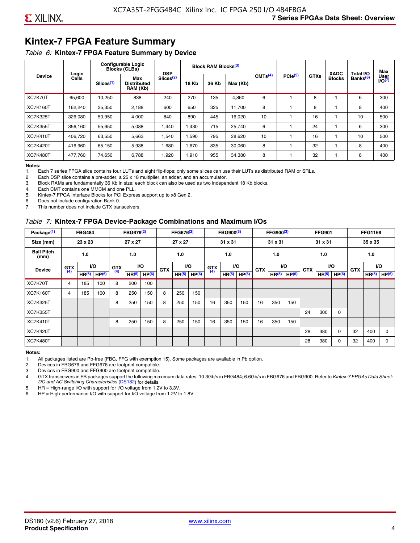## **Kintex-7 FPGA Feature Summary**

#### *Table 6:* **Kintex-7 FPGA Feature Summary by Device**

|                 |                |                       | <b>Configurable Logic</b><br><b>Blocks (CLBs)</b> | <b>DSP</b>                                          |       | <b>Block RAM Blocks</b> <sup>(3)</sup> |          |                     |              |             | <b>XADC</b>   | Total I/O            | Max                 |
|-----------------|----------------|-----------------------|---------------------------------------------------|-----------------------------------------------------|-------|----------------------------------------|----------|---------------------|--------------|-------------|---------------|----------------------|---------------------|
| <b>Device</b>   | Logic<br>Cells | Slices <sup>(1)</sup> | Max<br><b>Distributed</b><br>RAM (Kb)             | Slices <sup>(2)</sup><br><b>18 Kb</b><br>270<br>240 |       | 36 Kb                                  | Max (Kb) | CMTS <sup>(4)</sup> | $PCle^{(5)}$ | <b>GTXs</b> | <b>Blocks</b> | Banks <sup>(6)</sup> | User<br>$U$ O $(7)$ |
| XC7K70T         | 65,600         | 10,250                | 838                                               |                                                     |       | 135                                    | 4,860    | 6                   |              | 8           |               | 6                    | 300                 |
| <b>XC7K160T</b> | 162,240        | 25,350                | 2,188                                             | 600                                                 | 650   | 325                                    | 11,700   | 8                   |              | 8           |               | 8                    | 400                 |
| <b>XC7K325T</b> | 326.080        | 50.950                | 4,000                                             | 840                                                 | 890   | 445                                    | 16,020   | 10                  |              | 16          |               | 10                   | 500                 |
| <b>XC7K355T</b> | 356.160        | 55,650                | 5,088                                             | 1,440                                               | 1.430 | 715                                    | 25,740   | 6                   |              | 24          |               | 6                    | 300                 |
| <b>XC7K410T</b> | 406,720        | 63,550                | 5,663                                             | 1,540                                               | 1,590 | 795                                    | 28,620   | 10                  |              | 16          |               | 10                   | 500                 |
| <b>XC7K420T</b> | 416,960        | 65,150                | 5,938                                             | 1,680                                               | 1,670 | 835                                    | 30,060   | 8                   |              | 32          |               | 8                    | 400                 |
| <b>XC7K480T</b> | 477.760        | 74,650                | 6,788                                             | 1,920                                               | 1,910 | 955                                    | 34,380   | 8                   |              | 32          |               | 8                    | 400                 |

#### **Notes:**

1. Each 7 series FPGA slice contains four LUTs and eight flip-flops; only some slices can use their LUTs as distributed RAM or SRLs.<br>2. Each DSP slice contains a pre-adder, a 25 x 18 multiplier, an adder, and an accumulato

Each DSP slice contains a pre-adder, a 25 x 18 multiplier, an adder, and an accumulator.

3. Block RAMs are fundamentally 36 Kb in size; each block can also be used as two independent 18 Kb blocks.

4. Each CMT contains one MMCM and one PLL.

5. Kintex-7 FPGA Interface Blocks for PCI Express support up to x8 Gen 2.

6. Does not include configuration Bank 0.

7. This number does not include GTX transceivers.

#### *Table 7:* **Kintex-7 FPGA Device-Package Combinations and Maximum I/Os**

| Package <sup>(1)</sup>    |            | <b>FBG484</b>     |                   |            | FBG676 <sup>(2)</sup> |                   |            | FFG676 <sup>(2)</sup> |                   |            | FBG900 <sup>(3)</sup> |                   |            | FFG900 <sup>(3)</sup> |                   |            | <b>FFG901</b>     |                   |            | <b>FFG1156</b>    |                   |
|---------------------------|------------|-------------------|-------------------|------------|-----------------------|-------------------|------------|-----------------------|-------------------|------------|-----------------------|-------------------|------------|-----------------------|-------------------|------------|-------------------|-------------------|------------|-------------------|-------------------|
| Size (mm)                 |            | 23 x 23           |                   |            | 27 x 27               |                   |            | 27 x 27               |                   |            | 31 x 31               |                   |            | 31 x 31               |                   |            | 31 x 31           |                   |            | 35 x 35           |                   |
| <b>Ball Pitch</b><br>(mm) |            | 1.0               |                   |            | 1.0                   |                   |            | 1.0                   |                   |            | 1.0                   |                   |            | 1.0                   |                   |            | 1.0               |                   |            | 1.0               |                   |
| <b>Device</b>             | <b>GTX</b> |                   | VO.               | <b>GTX</b> | <b>VO</b>             |                   | <b>GTX</b> |                       | <b>VO</b>         | <b>GTX</b> |                       | <b>VO</b>         | <b>GTX</b> | <b>VO</b>             |                   | <b>GTX</b> |                   | VO                | <b>GTX</b> | <b>VO</b>         |                   |
|                           | (4)        | HR <sup>(5)</sup> | HP <sup>(6)</sup> | (4)        | HR <sup>(5)</sup>     | HP <sup>(6)</sup> |            | HR <sup>(5)</sup>     | HP <sup>(6)</sup> | (4)        | HR <sup>(5)</sup>     | HP <sup>(6)</sup> |            | HR <sup>(5)</sup>     | HP <sup>(6)</sup> |            | HR <sup>(5)</sup> | HP <sup>(6)</sup> |            | HR <sup>(5)</sup> | HP <sup>(6)</sup> |
| XC7K70T                   | 4          | 185               | 100               | 8          | 200                   | 100               |            |                       |                   |            |                       |                   |            |                       |                   |            |                   |                   |            |                   |                   |
| <b>XC7K160T</b>           | 4          | 185               | 100               | 8          | 250                   | 150               | 8          | 250                   | 150               |            |                       |                   |            |                       |                   |            |                   |                   |            |                   |                   |
| <b>XC7K325T</b>           |            |                   |                   | 8          | 250                   | 150               | 8          | 250                   | 150               | 16         | 350                   | 150               | 16         | 350                   | 150               |            |                   |                   |            |                   |                   |
| <b>XC7K355T</b>           |            |                   |                   |            |                       |                   |            |                       |                   |            |                       |                   |            |                       |                   | 24         | 300               | 0                 |            |                   |                   |
| <b>XC7K410T</b>           |            |                   |                   | 8          | 250                   | 150               | 8          | 250                   | 150               | 16         | 350                   | 150               | 16         | 350                   | 150               |            |                   |                   |            |                   |                   |
| <b>XC7K420T</b>           |            |                   |                   |            |                       |                   |            |                       |                   |            |                       |                   |            |                       |                   | 28         | 380               | $\Omega$          | 32         | 400               | $\Omega$          |
| <b>XC7K480T</b>           |            |                   |                   |            |                       |                   |            |                       |                   |            |                       |                   |            |                       |                   | 28         | 380               | 0                 | 32         | 400               | $\Omega$          |

#### **Notes:**

1. All packages listed are Pb-free (FBG, FFG with exemption 15). Some packages are available in Pb option.

2. Devices in FBG676 and FFG676 are footprint compatible.

3. Devices in FBG900 and FFG900 are footprint compatible. 4. GTX transceivers in FB packages support the following maximum data rates: 10.3Gb/s in FBG484; 6.6Gb/s in FBG676 and FBG900. Refer to *Kintex-7 FPGAs Data Sheet: DC and AC Switching Characteristics* [\(DS182](https://www.xilinx.com/support/documentation/data_sheets/ds182_Kintex_7_Data_Sheet.pdf)) for details.

5. HR = High-range I/O with support for I/O voltage from 1.2V to 3.3V.

6. HP = High-performance I/O with support for I/O voltage from 1.2V to 1.8V.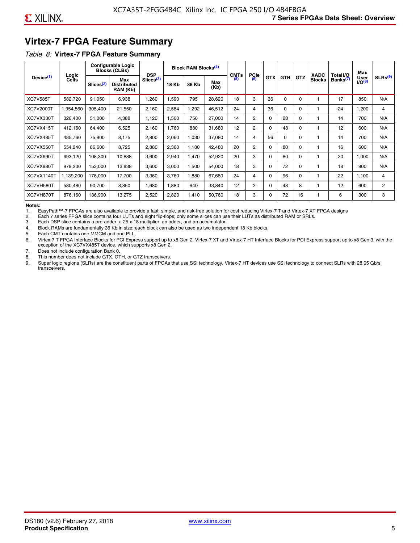## **Virtex-7 FPGA Feature Summary**

#### *Table 8:* **Virtex-7 FPGA Feature Summary**

|                       |                       |                       | <b>Configurable Logic</b><br><b>Blocks (CLBs)</b> | <b>DSP</b>            |       | <b>Block RAM Blocks</b> <sup>(4)</sup> |             | <b>CMTs</b> | <b>PCIe</b>    |            |            |            | <b>XADC</b>   | Total I/O            | Max                        |                     |
|-----------------------|-----------------------|-----------------------|---------------------------------------------------|-----------------------|-------|----------------------------------------|-------------|-------------|----------------|------------|------------|------------|---------------|----------------------|----------------------------|---------------------|
| Device <sup>(1)</sup> | Logic<br><b>Cells</b> | Slices <sup>(2)</sup> | Max<br><b>Distributed</b><br>RAM (Kb)             | Slices <sup>(3)</sup> | 18 Kb | 36 Kb                                  | Max<br>(Kb) | (5)         | (6)            | <b>GTX</b> | <b>GTH</b> | <b>GTZ</b> | <b>Blocks</b> | Banks <sup>(7)</sup> | <b>User</b><br>$1/O^{(8)}$ | SLRs <sup>(9)</sup> |
| <b>XC7V585T</b>       | 582.720               | 91,050                | 6,938                                             | .260                  | ,590  | 795                                    | 28,620      | 18          | 3              | 36         | 0          | $\Omega$   |               | 17                   | 850                        | N/A                 |
| <b>XC7V2000T</b>      | 1,954,560             | 305,400               | 21,550                                            | 2,160                 | 2,584 | ,292                                   | 46,512      | 24          | 4              | 36         | 0          | 0          |               | 24                   | ,200                       | 4                   |
| XC7VX330T             | 326,400               | 51,000                | 4,388                                             | 1,120                 | 1,500 | 750                                    | 27,000      | 14          | $\overline{2}$ | 0          | 28         | O          |               | 14                   | 700                        | N/A                 |
| XC7VX415T             | 412,160               | 64,400                | 6,525                                             | 2,160                 | 1.760 | 880                                    | 31,680      | 12          | $\overline{2}$ | $\Omega$   | 48         | $\Omega$   |               | 12                   | 600                        | N/A                 |
| XC7VX485T             | 485,760               | 75,900                | 8,175                                             | 2,800                 | 2,060 | 1,030                                  | 37,080      | 14          | 4              | 56         | $\Omega$   | 0          |               | 14                   | 700                        | N/A                 |
| XC7VX550T             | 554,240               | 86,600                | 8,725                                             | 2,880                 | 2,360 | 1,180                                  | 42,480      | 20          | $\overline{2}$ | $\Omega$   | 80         | $\Omega$   |               | 16                   | 600                        | N/A                 |
| XC7VX690T             | 693,120               | 108,300               | 10,888                                            | 3,600                 | 2,940 | 1,470                                  | 52,920      | 20          | 3              | 0          | 80         | 0          |               | 20                   | 1,000                      | N/A                 |
| XC7VX980T             | 979,200               | 153,000               | 13,838                                            | 3,600                 | 3,000 | 1,500                                  | 54,000      | 18          | 3              | 0          | 72         | 0          |               | 18                   | 900                        | N/A                 |
| <b>XC7VX1140T</b>     | 1,139,200             | 178,000               | 17.700                                            | 3,360                 | 3,760 | ,880                                   | 67,680      | 24          | 4              | $\Omega$   | 96         | $\Omega$   |               | 22                   | 1.100                      | 4                   |
| XC7VH580T             | 580,480               | 90,700                | 8,850                                             | <b>680</b>            | 1,880 | 940                                    | 33,840      | 12          | $\overline{c}$ | 0          | 48         | 8          |               | 12                   | 600                        | $\overline{c}$      |
| XC7VH870T             | 876,160               | 136,900               | 13,275                                            | 2,520                 | 2,820 | 1,410                                  | 50,760      | 18          | 3              | 0          | 72         | 16         |               | 6                    | 300                        | 3                   |

#### **Notes:**

1. EasyPath™-7 FPGAs are also available to provide a fast, simple, and risk-free solution for cost reducing Virtex-7 T and Virtex-7 XT FPGA designs

2. Each 7 series FPGA slice contains four LUTs and eight flip-flops; only some slices can use their LUTs as distributed RAM or SRLs.

Each DSP slice contains a pre-adder, a 25 x 18 multiplier, an adder, and an accumulator.

4. Block RAMs are fundamentally 36 Kb in size; each block can also be used as two independent 18 Kb blocks.

5. Each CMT contains one MMCM and one PLL.

6. Virtex-7 T FPGA Interface Blocks for PCI Express support up to x8 Gen 2. Virtex-7 XT and Virtex-7 HT Interface Blocks for PCI Express support up to x8 Gen 3, with the exception of the XC7VX485T device, which supports x8 Gen 2.

7. Does not include configuration Bank 0.

8. This number does not include GTX, GTH, or GTZ transceivers.

9. Super logic regions (SLRs) are the constituent parts of FPGAs that use SSI technology. Virtex-7 HT devices use SSI technology to connect SLRs with 28.05 Gb/s transceivers.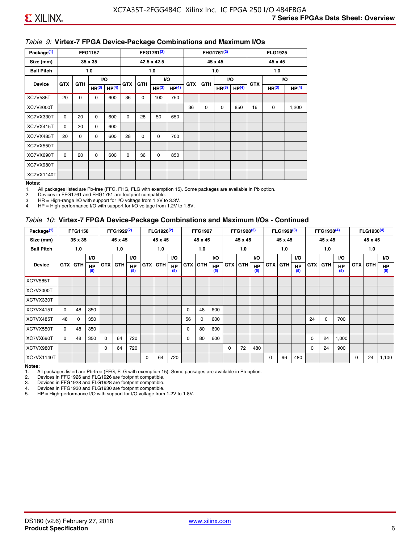#### *Table 9:* **Virtex-7 FPGA Device-Package Combinations and Maximum I/Os**

| Package <sup>(1)</sup> |            |             | <b>FFG1157</b>    |                   |            |            | FFG1761 <sup>(2)</sup> |                   |            |             | FHG1761 <sup>(2)</sup> |                   |            | <b>FLG1925</b>    |                   |
|------------------------|------------|-------------|-------------------|-------------------|------------|------------|------------------------|-------------------|------------|-------------|------------------------|-------------------|------------|-------------------|-------------------|
| Size (mm)              |            |             | 35 x 35           |                   |            |            | 42.5 x 42.5            |                   |            |             | 45 x 45                |                   |            | 45 x 45           |                   |
| <b>Ball Pitch</b>      |            |             | 1.0               |                   |            |            | 1.0                    |                   |            |             | 1.0                    |                   |            | 1.0               |                   |
| <b>Device</b>          | <b>GTX</b> | <b>GTH</b>  |                   | I/O               | <b>GTX</b> | <b>GTH</b> |                        | I/O               | <b>GTX</b> | <b>GTH</b>  | VO.                    |                   | <b>GTX</b> |                   | VO.               |
|                        |            |             | HR <sup>(3)</sup> | HP <sup>(4)</sup> |            |            | HR <sup>(3)</sup>      | HP <sup>(4)</sup> |            |             | HR <sup>(3)</sup>      | HP <sup>(4)</sup> |            | HR <sup>(3)</sup> | HP <sup>(4)</sup> |
| <b>XC7V585T</b>        | 20         | $\mathbf 0$ | 0                 | 600               | 36         | 0          | 100                    | 750               |            |             |                        |                   |            |                   |                   |
| XC7V2000T              |            |             |                   |                   |            |            |                        |                   | 36         | $\mathbf 0$ | 0                      | 850               | 16         | 0                 | 1,200             |
| XC7VX330T              | $\Omega$   | 20          | $\Omega$          | 600               | 0          | 28         | 50                     | 650               |            |             |                        |                   |            |                   |                   |
| XC7VX415T              | 0          | 20          | $\Omega$          | 600               |            |            |                        |                   |            |             |                        |                   |            |                   |                   |
| XC7VX485T              | 20         | 0           | 0                 | 600               | 28         | 0          | 0                      | 700               |            |             |                        |                   |            |                   |                   |
| XC7VX550T              |            |             |                   |                   |            |            |                        |                   |            |             |                        |                   |            |                   |                   |
| XC7VX690T              | $\Omega$   | 20          | $\Omega$          | 600               | $\Omega$   | 36         | 0                      | 850               |            |             |                        |                   |            |                   |                   |
| XC7VX980T              |            |             |                   |                   |            |            |                        |                   |            |             |                        |                   |            |                   |                   |
| XC7VX1140T             |            |             |                   |                   |            |            |                        |                   |            |             |                        |                   |            |                   |                   |

#### **Notes:**

1. All packages listed are Pb-free (FFG, FHG, FLG with exemption 15). Some packages are available in Pb option.

2. Devices in FFG1761 and FHG1761 are footprint compatible.<br>3. HR = High-range I/O with support for I/O voltage from 1.2V to

HR = High-range I/O with support for I/O voltage from 1.2V to 3.3V.

4. HP = High-performance I/O with support for I/O voltage from 1.2V to 1.8V.

#### *Table 10:* **Virtex-7 FPGA Device-Package Combinations and Maximum I/Os - Continued**

| Package <sup>(1)</sup> |          | <b>FFG1158</b> |                  |          | FFG1926 <sup>(2)</sup> |                  |            | FLG1926 <sup>(2)</sup> |                  |            | <b>FFG1927</b> |                  |          | FFG1928 <sup>(3)</sup> |                  |            | FLG1928 <sup>(3)</sup> |                  |            | FFG1930 <sup>(4)</sup> |           |            | FLG1930 <sup>(4)</sup> |                  |
|------------------------|----------|----------------|------------------|----------|------------------------|------------------|------------|------------------------|------------------|------------|----------------|------------------|----------|------------------------|------------------|------------|------------------------|------------------|------------|------------------------|-----------|------------|------------------------|------------------|
| Size (mm)              |          | 35 x 35        |                  |          | 45 x 45                |                  |            | 45 x 45                |                  |            | 45 x 45        |                  |          | 45 x 45                |                  |            | 45 x 45                |                  |            | 45 x 45                |           |            | 45 x 45                |                  |
| <b>Ball Pitch</b>      |          | 1.0            |                  |          | 1.0                    |                  |            | 1.0                    |                  |            | 1.0            |                  |          | 1.0                    |                  |            | 1.0                    |                  |            | 1.0                    |           |            | 1.0                    |                  |
|                        |          |                | <b>VO</b>        |          |                        | <b>VO</b>        |            |                        | <b>VO</b>        |            |                | <b>VO</b>        |          |                        | <b>VO</b>        |            |                        | <b>VO</b>        |            |                        | <b>VO</b> |            |                        | <b>VO</b>        |
| <b>Device</b>          |          | <b>GTX GTH</b> | <b>HP</b><br>(5) |          | GTX GTH                | <b>HP</b><br>(5) | <b>GTX</b> | <b>GTH</b>             | <b>HP</b><br>(5) | <b>GTX</b> | GTH            | <b>HP</b><br>(5) |          | <b>GTX GTH</b>         | <b>HP</b><br>(5) | <b>GTX</b> | <b>GTH</b>             | <b>HP</b><br>(5) | <b>GTX</b> | GTH                    | HP<br>(5) | <b>GTX</b> | GTH                    | <b>HP</b><br>(5) |
| <b>XC7V585T</b>        |          |                |                  |          |                        |                  |            |                        |                  |            |                |                  |          |                        |                  |            |                        |                  |            |                        |           |            |                        |                  |
| <b>XC7V2000T</b>       |          |                |                  |          |                        |                  |            |                        |                  |            |                |                  |          |                        |                  |            |                        |                  |            |                        |           |            |                        |                  |
| XC7VX330T              |          |                |                  |          |                        |                  |            |                        |                  |            |                |                  |          |                        |                  |            |                        |                  |            |                        |           |            |                        |                  |
| XC7VX415T              | $\Omega$ | 48             | 350              |          |                        |                  |            |                        |                  | 0          | 48             | 600              |          |                        |                  |            |                        |                  |            |                        |           |            |                        |                  |
| XC7VX485T              | 48       | $\Omega$       | 350              |          |                        |                  |            |                        |                  | 56         | $\Omega$       | 600              |          |                        |                  |            |                        |                  | 24         | $\Omega$               | 700       |            |                        |                  |
| XC7VX550T              | $\Omega$ | 48             | 350              |          |                        |                  |            |                        |                  | 0          | 80             | 600              |          |                        |                  |            |                        |                  |            |                        |           |            |                        |                  |
| XC7VX690T              | $\Omega$ | 48             | 350              | $\Omega$ | 64                     | 720              |            |                        |                  | 0          | 80             | 600              |          |                        |                  |            |                        |                  | 0          | 24                     | 1,000     |            |                        |                  |
| XC7VX980T              |          |                |                  | $\Omega$ | 64                     | 720              |            |                        |                  |            |                |                  | $\Omega$ | 72                     | 480              |            |                        |                  | 0          | 24                     | 900       |            |                        |                  |
| <b>XC7VX1140T</b>      |          |                |                  |          |                        |                  | $\Omega$   | 64                     | 720              |            |                |                  |          |                        |                  | $\Omega$   | 96                     | 480              |            |                        |           | $\Omega$   | 24                     | 1,100            |

**Notes:** 

1. All packages listed are Pb-free (FFG, FLG with exemption 15). Some packages are available in Pb option.<br>2. Devices in FFG1926 and FLG1926 are footprint compatible.

2. Devices in FFG1926 and FLG1926 are footprint compatible.

3. Devices in FFG1928 and FLG1928 are footprint compatible.

4. Devices in FFG1930 and FLG1930 are footprint compatible.<br>5. HP = High-performance I/O with support for I/O voltage from HP = High-performance I/O with support for I/O voltage from 1.2V to 1.8V.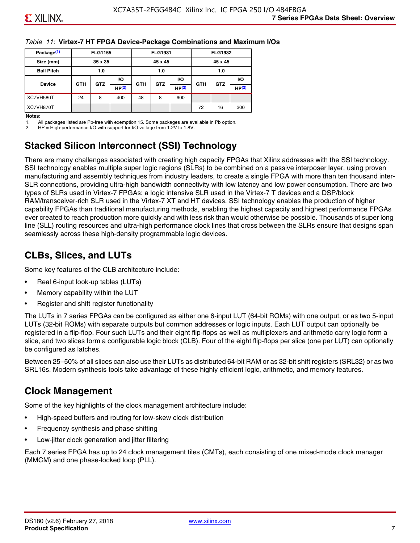#### *Table 11:* **Virtex-7 HT FPGA Device-Package Combinations and Maximum I/Os**

| Package <sup>(1)</sup> |            | <b>FLG1155</b> |       |            | <b>FLG1931</b> |           |            | <b>FLG1932</b> |                   |
|------------------------|------------|----------------|-------|------------|----------------|-----------|------------|----------------|-------------------|
| Size (mm)              |            | 35 x 35        |       |            | 45 x 45        |           |            | 45 x 45        |                   |
| <b>Ball Pitch</b>      |            | 1.0            |       |            | 1.0            |           |            | 1.0            |                   |
|                        |            | <b>GTZ</b>     | VO.   |            |                | <b>VO</b> | <b>GTH</b> | <b>GTZ</b>     | VO.               |
| <b>Device</b>          | <b>GTH</b> |                | HP(2) | <b>GTH</b> | <b>GTZ</b>     | HP(2)     |            |                | HP <sup>(2)</sup> |
| XC7VH580T              | 24         | 8              | 400   | 48         | 8              | 600       |            |                |                   |
| XC7VH870T              |            |                |       |            |                |           | 72         | 16             | 300               |

#### **Notes:**

1. All packages listed are Pb-free with exemption 15. Some packages are available in Pb option.

2. HP = High-performance I/O with support for I/O voltage from 1.2V to 1.8V.

## **Stacked Silicon Interconnect (SSI) Technology**

There are many challenges associated with creating high capacity FPGAs that Xilinx addresses with the SSI technology. SSI technology enables multiple super logic regions (SLRs) to be combined on a passive interposer layer, using proven manufacturing and assembly techniques from industry leaders, to create a single FPGA with more than ten thousand inter-SLR connections, providing ultra-high bandwidth connectivity with low latency and low power consumption. There are two types of SLRs used in Virtex-7 FPGAs: a logic intensive SLR used in the Virtex-7 T devices and a DSP/block RAM/transceiver-rich SLR used in the Virtex-7 XT and HT devices. SSI technology enables the production of higher capability FPGAs than traditional manufacturing methods, enabling the highest capacity and highest performance FPGAs ever created to reach production more quickly and with less risk than would otherwise be possible. Thousands of super long line (SLL) routing resources and ultra-high performance clock lines that cross between the SLRs ensure that designs span seamlessly across these high-density programmable logic devices.

## **CLBs, Slices, and LUTs**

Some key features of the CLB architecture include:

- Real 6-input look-up tables (LUTs)
- Memory capability within the LUT
- Register and shift register functionality

The LUTs in 7 series FPGAs can be configured as either one 6-input LUT (64-bit ROMs) with one output, or as two 5-input LUTs (32-bit ROMs) with separate outputs but common addresses or logic inputs. Each LUT output can optionally be registered in a flip-flop. Four such LUTs and their eight flip-flops as well as multiplexers and arithmetic carry logic form a slice, and two slices form a configurable logic block (CLB). Four of the eight flip-flops per slice (one per LUT) can optionally be configured as latches.

Between 25–50% of all slices can also use their LUTs as distributed 64-bit RAM or as 32-bit shift registers (SRL32) or as two SRL16s. Modern synthesis tools take advantage of these highly efficient logic, arithmetic, and memory features.

## **Clock Management**

Some of the key highlights of the clock management architecture include:

- High-speed buffers and routing for low-skew clock distribution
- Frequency synthesis and phase shifting
- Low-jitter clock generation and jitter filtering

Each 7 series FPGA has up to 24 clock management tiles (CMTs), each consisting of one mixed-mode clock manager (MMCM) and one phase-locked loop (PLL).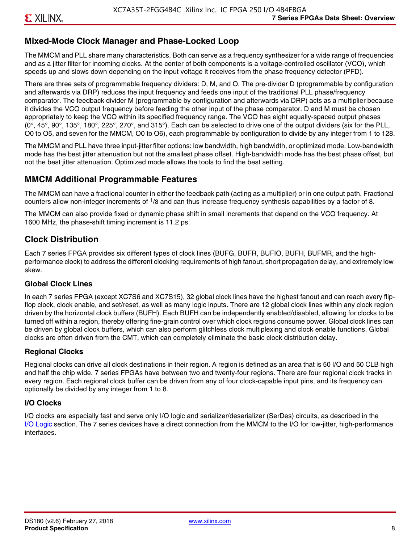## **Mixed-Mode Clock Manager and Phase-Locked Loop**

The MMCM and PLL share many characteristics. Both can serve as a frequency synthesizer for a wide range of frequencies and as a jitter filter for incoming clocks. At the center of both components is a voltage-controlled oscillator (VCO), which speeds up and slows down depending on the input voltage it receives from the phase frequency detector (PFD).

There are three sets of programmable frequency dividers: D, M, and O. The pre-divider D (programmable by configuration and afterwards via DRP) reduces the input frequency and feeds one input of the traditional PLL phase/frequency comparator. The feedback divider M (programmable by configuration and afterwards via DRP) acts as a multiplier because it divides the VCO output frequency before feeding the other input of the phase comparator. D and M must be chosen appropriately to keep the VCO within its specified frequency range. The VCO has eight equally-spaced output phases  $(0^\circ, 45^\circ, 90^\circ, 135^\circ, 180^\circ, 225^\circ, 270^\circ,$  and  $315^\circ$ ). Each can be selected to drive one of the output dividers (six for the PLL, O0 to O5, and seven for the MMCM, O0 to O6), each programmable by configuration to divide by any integer from 1 to 128.

The MMCM and PLL have three input-jitter filter options: low bandwidth, high bandwidth, or optimized mode. Low-bandwidth mode has the best jitter attenuation but not the smallest phase offset. High-bandwidth mode has the best phase offset, but not the best jitter attenuation. Optimized mode allows the tools to find the best setting.

#### **MMCM Additional Programmable Features**

The MMCM can have a fractional counter in either the feedback path (acting as a multiplier) or in one output path. Fractional counters allow non-integer increments of  $1/8$  and can thus increase frequency synthesis capabilities by a factor of 8.

The MMCM can also provide fixed or dynamic phase shift in small increments that depend on the VCO frequency. At 1600 MHz, the phase-shift timing increment is 11.2 ps.

## **Clock Distribution**

Each 7 series FPGA provides six different types of clock lines (BUFG, BUFR, BUFIO, BUFH, BUFMR, and the highperformance clock) to address the different clocking requirements of high fanout, short propagation delay, and extremely low skew.

#### **Global Clock Lines**

In each 7 series FPGA (except XC7S6 and XC7S15), 32 global clock lines have the highest fanout and can reach every flipflop clock, clock enable, and set/reset, as well as many logic inputs. There are 12 global clock lines within any clock region driven by the horizontal clock buffers (BUFH). Each BUFH can be independently enabled/disabled, allowing for clocks to be turned off within a region, thereby offering fine-grain control over which clock regions consume power. Global clock lines can be driven by global clock buffers, which can also perform glitchless clock multiplexing and clock enable functions. Global clocks are often driven from the CMT, which can completely eliminate the basic clock distribution delay.

#### **Regional Clocks**

Regional clocks can drive all clock destinations in their region. A region is defined as an area that is 50 I/O and 50 CLB high and half the chip wide. 7 series FPGAs have between two and twenty-four regions. There are four regional clock tracks in every region. Each regional clock buffer can be driven from any of four clock-capable input pins, and its frequency can optionally be divided by any integer from 1 to 8.

#### **I/O Clocks**

I/O clocks are especially fast and serve only I/O logic and serializer/deserializer (SerDes) circuits, as described in the I/O Logic section. The 7 series devices have a direct connection from the MMCM to the I/O for low-jitter, high-performance interfaces.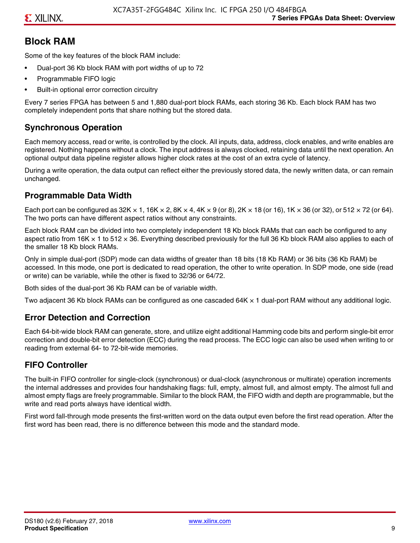## **Block RAM**

Some of the key features of the block RAM include:

- Dual-port 36 Kb block RAM with port widths of up to 72
- Programmable FIFO logic
- Built-in optional error correction circuitry

Every 7 series FPGA has between 5 and 1,880 dual-port block RAMs, each storing 36 Kb. Each block RAM has two completely independent ports that share nothing but the stored data.

## **Synchronous Operation**

Each memory access, read or write, is controlled by the clock. All inputs, data, address, clock enables, and write enables are registered. Nothing happens without a clock. The input address is always clocked, retaining data until the next operation. An optional output data pipeline register allows higher clock rates at the cost of an extra cycle of latency.

During a write operation, the data output can reflect either the previously stored data, the newly written data, or can remain unchanged.

#### **Programmable Data Width**

Each port can be configured as 32K  $\times$  1, 16K  $\times$  2, 8K  $\times$  4, 4K  $\times$  9 (or 8), 2K  $\times$  18 (or 16), 1K  $\times$  36 (or 32), or 512  $\times$  72 (or 64). The two ports can have different aspect ratios without any constraints.

Each block RAM can be divided into two completely independent 18 Kb block RAMs that can each be configured to any aspect ratio from 16K  $\times$  1 to 512  $\times$  36. Everything described previously for the full 36 Kb block RAM also applies to each of the smaller 18 Kb block RAMs.

Only in simple dual-port (SDP) mode can data widths of greater than 18 bits (18 Kb RAM) or 36 bits (36 Kb RAM) be accessed. In this mode, one port is dedicated to read operation, the other to write operation. In SDP mode, one side (read or write) can be variable, while the other is fixed to 32/36 or 64/72.

Both sides of the dual-port 36 Kb RAM can be of variable width.

Two adjacent 36 Kb block RAMs can be configured as one cascaded 64K × 1 dual-port RAM without any additional logic.

#### **Error Detection and Correction**

Each 64-bit-wide block RAM can generate, store, and utilize eight additional Hamming code bits and perform single-bit error correction and double-bit error detection (ECC) during the read process. The ECC logic can also be used when writing to or reading from external 64- to 72-bit-wide memories.

## **FIFO Controller**

The built-in FIFO controller for single-clock (synchronous) or dual-clock (asynchronous or multirate) operation increments the internal addresses and provides four handshaking flags: full, empty, almost full, and almost empty. The almost full and almost empty flags are freely programmable. Similar to the block RAM, the FIFO width and depth are programmable, but the write and read ports always have identical width.

First word fall-through mode presents the first-written word on the data output even before the first read operation. After the first word has been read, there is no difference between this mode and the standard mode.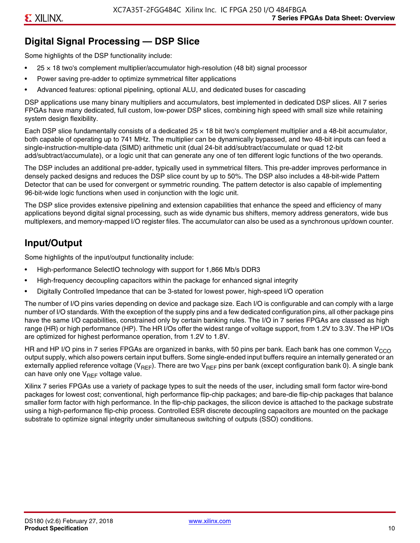## **Digital Signal Processing — DSP Slice**

Some highlights of the DSP functionality include:

- $25 \times 18$  two's complement multiplier/accumulator high-resolution (48 bit) signal processor
- Power saving pre-adder to optimize symmetrical filter applications
- Advanced features: optional pipelining, optional ALU, and dedicated buses for cascading

DSP applications use many binary multipliers and accumulators, best implemented in dedicated DSP slices. All 7 series FPGAs have many dedicated, full custom, low-power DSP slices, combining high speed with small size while retaining system design flexibility.

Each DSP slice fundamentally consists of a dedicated 25 × 18 bit two's complement multiplier and a 48-bit accumulator, both capable of operating up to 741 MHz. The multiplier can be dynamically bypassed, and two 48-bit inputs can feed a single-instruction-multiple-data (SIMD) arithmetic unit (dual 24-bit add/subtract/accumulate or quad 12-bit add/subtract/accumulate), or a logic unit that can generate any one of ten different logic functions of the two operands.

The DSP includes an additional pre-adder, typically used in symmetrical filters. This pre-adder improves performance in densely packed designs and reduces the DSP slice count by up to 50%. The DSP also includes a 48-bit-wide Pattern Detector that can be used for convergent or symmetric rounding. The pattern detector is also capable of implementing 96-bit-wide logic functions when used in conjunction with the logic unit.

The DSP slice provides extensive pipelining and extension capabilities that enhance the speed and efficiency of many applications beyond digital signal processing, such as wide dynamic bus shifters, memory address generators, wide bus multiplexers, and memory-mapped I/O register files. The accumulator can also be used as a synchronous up/down counter.

## **Input/Output**

Some highlights of the input/output functionality include:

- High-performance SelectIO technology with support for 1,866 Mb/s DDR3
- High-frequency decoupling capacitors within the package for enhanced signal integrity
- Digitally Controlled Impedance that can be 3-stated for lowest power, high-speed I/O operation

The number of I/O pins varies depending on device and package size. Each I/O is configurable and can comply with a large number of I/O standards. With the exception of the supply pins and a few dedicated configuration pins, all other package pins have the same I/O capabilities, constrained only by certain banking rules. The I/O in 7 series FPGAs are classed as high range (HR) or high performance (HP). The HR I/Os offer the widest range of voltage support, from 1.2V to 3.3V. The HP I/Os are optimized for highest performance operation, from 1.2V to 1.8V.

HR and HP I/O pins in 7 series FPGAs are organized in banks, with 50 pins per bank. Each bank has one common V<sub>CCO</sub> output supply, which also powers certain input buffers. Some single-ended input buffers require an internally generated or an externally applied reference voltage ( $V_{RFF}$ ). There are two  $V_{RFF}$  pins per bank (except configuration bank 0). A single bank can have only one  $V_{\text{RFF}}$  voltage value.

Xilinx 7 series FPGAs use a variety of package types to suit the needs of the user, including small form factor wire-bond packages for lowest cost; conventional, high performance flip-chip packages; and bare-die flip-chip packages that balance smaller form factor with high performance. In the flip-chip packages, the silicon device is attached to the package substrate using a high-performance flip-chip process. Controlled ESR discrete decoupling capacitors are mounted on the package substrate to optimize signal integrity under simultaneous switching of outputs (SSO) conditions.

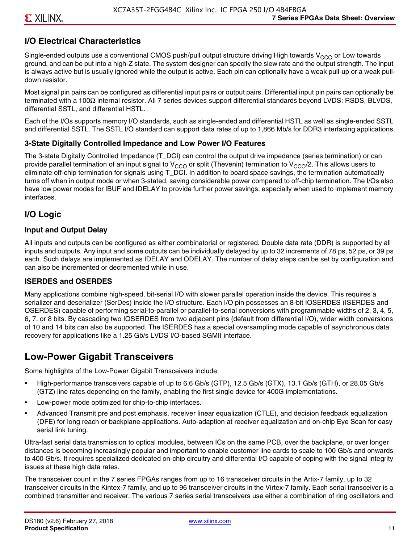## **I/O Electrical Characteristics**

Single-ended outputs use a conventional CMOS push/pull output structure driving High towards  $V_{CCO}$  or Low towards ground, and can be put into a high-Z state. The system designer can specify the slew rate and the output strength. The input is always active but is usually ignored while the output is active. Each pin can optionally have a weak pull-up or a weak pulldown resistor.

Most signal pin pairs can be configured as differential input pairs or output pairs. Differential input pin pairs can optionally be terminated with a 100Ω internal resistor. All 7 series devices support differential standards beyond LVDS: RSDS, BLVDS, differential SSTL, and differential HSTL.

Each of the I/Os supports memory I/O standards, such as single-ended and differential HSTL as well as single-ended SSTL and differential SSTL. The SSTL I/O standard can support data rates of up to 1,866 Mb/s for DDR3 interfacing applications.

#### **3-State Digitally Controlled Impedance and Low Power I/O Features**

The 3-state Digitally Controlled Impedance (T\_DCI) can control the output drive impedance (series termination) or can provide parallel termination of an input signal to V<sub>CCO</sub> or split (Thevenin) termination to V<sub>CCO</sub>/2. This allows users to eliminate off-chip termination for signals using T\_DCI. In addition to board space savings, the termination automatically turns off when in output mode or when 3-stated, saving considerable power compared to off-chip termination. The I/Os also have low power modes for IBUF and IDELAY to provide further power savings, especially when used to implement memory interfaces.

## **I/O Logic**

#### **Input and Output Delay**

All inputs and outputs can be configured as either combinatorial or registered. Double data rate (DDR) is supported by all inputs and outputs. Any input and some outputs can be individually delayed by up to 32 increments of 78 ps, 52 ps, or 39 ps each. Such delays are implemented as IDELAY and ODELAY. The number of delay steps can be set by configuration and can also be incremented or decremented while in use.

#### **ISERDES and OSERDES**

Many applications combine high-speed, bit-serial I/O with slower parallel operation inside the device. This requires a serializer and deserializer (SerDes) inside the I/O structure. Each I/O pin possesses an 8-bit IOSERDES (ISERDES and OSERDES) capable of performing serial-to-parallel or parallel-to-serial conversions with programmable widths of 2, 3, 4, 5, 6, 7, or 8 bits. By cascading two IOSERDES from two adjacent pins (default from differential I/O), wider width conversions of 10 and 14 bits can also be supported. The ISERDES has a special oversampling mode capable of asynchronous data recovery for applications like a 1.25 Gb/s LVDS I/O-based SGMII interface.

## **Low-Power Gigabit Transceivers**

Some highlights of the Low-Power Gigabit Transceivers include:

- High-performance transceivers capable of up to 6.6 Gb/s (GTP), 12.5 Gb/s (GTX), 13.1 Gb/s (GTH), or 28.05 Gb/s (GTZ) line rates depending on the family, enabling the first single device for 400G implementations.
- Low-power mode optimized for chip-to-chip interfaces.
- Advanced Transmit pre and post emphasis, receiver linear equalization (CTLE), and decision feedback equalization (DFE) for long reach or backplane applications. Auto-adaption at receiver equalization and on-chip Eye Scan for easy serial link tuning.

Ultra-fast serial data transmission to optical modules, between ICs on the same PCB, over the backplane, or over longer distances is becoming increasingly popular and important to enable customer line cards to scale to 100 Gb/s and onwards to 400 Gb/s. It requires specialized dedicated on-chip circuitry and differential I/O capable of coping with the signal integrity issues at these high data rates.

The transceiver count in the 7 series FPGAs ranges from up to 16 transceiver circuits in the Artix-7 family, up to 32 transceiver circuits in the Kintex-7 family, and up to 96 transceiver circuits in the Virtex-7 family. Each serial transceiver is a combined transmitter and receiver. The various 7 series serial transceivers use either a combination of ring oscillators and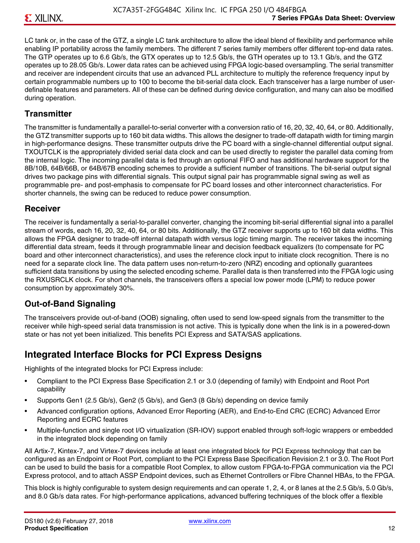LC tank or, in the case of the GTZ, a single LC tank architecture to allow the ideal blend of flexibility and performance while enabling IP portability across the family members. The different 7 series family members offer different top-end data rates. The GTP operates up to 6.6 Gb/s, the GTX operates up to 12.5 Gb/s, the GTH operates up to 13.1 Gb/s, and the GTZ operates up to 28.05 Gb/s. Lower data rates can be achieved using FPGA logic-based oversampling. The serial transmitter and receiver are independent circuits that use an advanced PLL architecture to multiply the reference frequency input by certain programmable numbers up to 100 to become the bit-serial data clock. Each transceiver has a large number of userdefinable features and parameters. All of these can be defined during device configuration, and many can also be modified during operation.

#### **Transmitter**

The transmitter is fundamentally a parallel-to-serial converter with a conversion ratio of 16, 20, 32, 40, 64, or 80. Additionally, the GTZ transmitter supports up to 160 bit data widths. This allows the designer to trade-off datapath width for timing margin in high-performance designs. These transmitter outputs drive the PC board with a single-channel differential output signal. TXOUTCLK is the appropriately divided serial data clock and can be used directly to register the parallel data coming from the internal logic. The incoming parallel data is fed through an optional FIFO and has additional hardware support for the 8B/10B, 64B/66B, or 64B/67B encoding schemes to provide a sufficient number of transitions. The bit-serial output signal drives two package pins with differential signals. This output signal pair has programmable signal swing as well as programmable pre- and post-emphasis to compensate for PC board losses and other interconnect characteristics. For shorter channels, the swing can be reduced to reduce power consumption.

#### **Receiver**

The receiver is fundamentally a serial-to-parallel converter, changing the incoming bit-serial differential signal into a parallel stream of words, each 16, 20, 32, 40, 64, or 80 bits. Additionally, the GTZ receiver supports up to 160 bit data widths. This allows the FPGA designer to trade-off internal datapath width versus logic timing margin. The receiver takes the incoming differential data stream, feeds it through programmable linear and decision feedback equalizers (to compensate for PC board and other interconnect characteristics), and uses the reference clock input to initiate clock recognition. There is no need for a separate clock line. The data pattern uses non-return-to-zero (NRZ) encoding and optionally guarantees sufficient data transitions by using the selected encoding scheme. Parallel data is then transferred into the FPGA logic using the RXUSRCLK clock. For short channels, the transceivers offers a special low power mode (LPM) to reduce power consumption by approximately 30%.

## **Out-of-Band Signaling**

The transceivers provide out-of-band (OOB) signaling, often used to send low-speed signals from the transmitter to the receiver while high-speed serial data transmission is not active. This is typically done when the link is in a powered-down state or has not yet been initialized. This benefits PCI Express and SATA/SAS applications.

## **Integrated Interface Blocks for PCI Express Designs**

Highlights of the integrated blocks for PCI Express include:

- Compliant to the PCI Express Base Specification 2.1 or 3.0 (depending of family) with Endpoint and Root Port capability
- Supports Gen1 (2.5 Gb/s), Gen2 (5 Gb/s), and Gen3 (8 Gb/s) depending on device family
- Advanced configuration options, Advanced Error Reporting (AER), and End-to-End CRC (ECRC) Advanced Error Reporting and ECRC features
- Multiple-function and single root I/O virtualization (SR-IOV) support enabled through soft-logic wrappers or embedded in the integrated block depending on family

All Artix-7, Kintex-7, and Virtex-7 devices include at least one integrated block for PCI Express technology that can be configured as an Endpoint or Root Port, compliant to the PCI Express Base Specification Revision 2.1 or 3.0. The Root Port can be used to build the basis for a compatible Root Complex, to allow custom FPGA-to-FPGA communication via the PCI Express protocol, and to attach ASSP Endpoint devices, such as Ethernet Controllers or Fibre Channel HBAs, to the FPGA.

This block is highly configurable to system design requirements and can operate 1, 2, 4, or 8 lanes at the 2.5 Gb/s, 5.0 Gb/s, and 8.0 Gb/s data rates. For high-performance applications, advanced buffering techniques of the block offer a flexible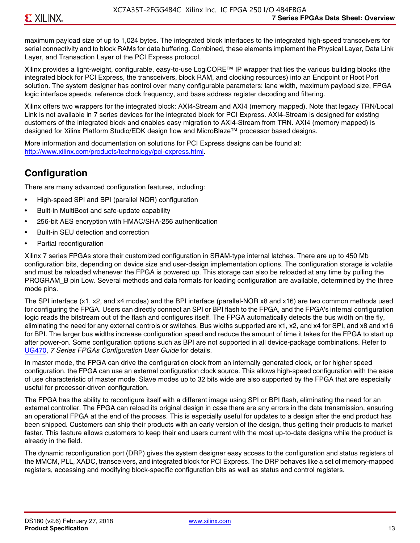maximum payload size of up to 1,024 bytes. The integrated block interfaces to the integrated high-speed transceivers for serial connectivity and to block RAMs for data buffering. Combined, these elements implement the Physical Layer, Data Link Layer, and Transaction Layer of the PCI Express protocol.

Xilinx provides a light-weight, configurable, easy-to-use LogiCORE™ IP wrapper that ties the various building blocks (the integrated block for PCI Express, the transceivers, block RAM, and clocking resources) into an Endpoint or Root Port solution. The system designer has control over many configurable parameters: lane width, maximum payload size, FPGA logic interface speeds, reference clock frequency, and base address register decoding and filtering.

Xilinx offers two wrappers for the integrated block: AXI4-Stream and AXI4 (memory mapped). Note that legacy TRN/Local Link is not available in 7 series devices for the integrated block for PCI Express. AXI4-Stream is designed for existing customers of the integrated block and enables easy migration to AXI4-Stream from TRN. AXI4 (memory mapped) is designed for Xilinx Platform Studio/EDK design flow and MicroBlaze™ processor based designs.

More information and documentation on solutions for PCI Express designs can be found at: <http://www.xilinx.com/products/technology/pci-express.html>.

## **Configuration**

There are many advanced configuration features, including:

- High-speed SPI and BPI (parallel NOR) configuration
- Built-in MultiBoot and safe-update capability
- 256-bit AES encryption with HMAC/SHA-256 authentication
- Built-in SEU detection and correction
- Partial reconfiguration

Xilinx 7 series FPGAs store their customized configuration in SRAM-type internal latches. There are up to 450 Mb configuration bits, depending on device size and user-design implementation options. The configuration storage is volatile and must be reloaded whenever the FPGA is powered up. This storage can also be reloaded at any time by pulling the PROGRAM B pin Low. Several methods and data formats for loading configuration are available, determined by the three mode pins.

The SPI interface (x1, x2, and x4 modes) and the BPI interface (parallel-NOR x8 and x16) are two common methods used for configuring the FPGA. Users can directly connect an SPI or BPI flash to the FPGA, and the FPGA's internal configuration logic reads the bitstream out of the flash and configures itself. The FPGA automatically detects the bus width on the fly, eliminating the need for any external controls or switches. Bus widths supported are x1, x2, and x4 for SPI, and x8 and x16 for BPI. The larger bus widths increase configuration speed and reduce the amount of time it takes for the FPGA to start up after power-on. Some configuration options such as BPI are not supported in all device-package combinations. Refer to [UG470,](http://www.xilinx.com/support/documentation/user_guides/ug470_7Series_Config.pdf) *7 Series FPGAs Configuration User Guide* for details.

In master mode, the FPGA can drive the configuration clock from an internally generated clock, or for higher speed configuration, the FPGA can use an external configuration clock source. This allows high-speed configuration with the ease of use characteristic of master mode. Slave modes up to 32 bits wide are also supported by the FPGA that are especially useful for processor-driven configuration.

The FPGA has the ability to reconfigure itself with a different image using SPI or BPI flash, eliminating the need for an external controller. The FPGA can reload its original design in case there are any errors in the data transmission, ensuring an operational FPGA at the end of the process. This is especially useful for updates to a design after the end product has been shipped. Customers can ship their products with an early version of the design, thus getting their products to market faster. This feature allows customers to keep their end users current with the most up-to-date designs while the product is already in the field.

The dynamic reconfiguration port (DRP) gives the system designer easy access to the configuration and status registers of the MMCM, PLL, XADC, transceivers, and integrated block for PCI Express. The DRP behaves like a set of memory-mapped registers, accessing and modifying block-specific configuration bits as well as status and control registers.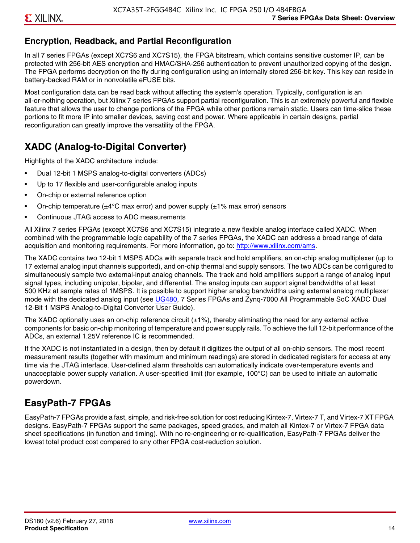## **Encryption, Readback, and Partial Reconfiguration**

In all 7 series FPGAs (except XC7S6 and XC7S15), the FPGA bitstream, which contains sensitive customer IP, can be protected with 256-bit AES encryption and HMAC/SHA-256 authentication to prevent unauthorized copying of the design. The FPGA performs decryption on the fly during configuration using an internally stored 256-bit key. This key can reside in battery-backed RAM or in nonvolatile eFUSE bits.

Most configuration data can be read back without affecting the system's operation. Typically, configuration is an all-or-nothing operation, but Xilinx 7 series FPGAs support partial reconfiguration. This is an extremely powerful and flexible feature that allows the user to change portions of the FPGA while other portions remain static. Users can time-slice these portions to fit more IP into smaller devices, saving cost and power. Where applicable in certain designs, partial reconfiguration can greatly improve the versatility of the FPGA.

## **XADC (Analog-to-Digital Converter)**

Highlights of the XADC architecture include:

- Dual 12-bit 1 MSPS analog-to-digital converters (ADCs)
- Up to 17 flexible and user-configurable analog inputs
- On-chip or external reference option
- On-chip temperature ( $\pm 4^{\circ}$ C max error) and power supply ( $\pm 1\%$  max error) sensors
- Continuous JTAG access to ADC measurements

All Xilinx 7 series FPGAs (except XC7S6 and XC7S15) integrate a new flexible analog interface called XADC. When combined with the programmable logic capability of the 7 series FPGAs, the XADC can address a broad range of data acquisition and monitoring requirements. For more information, go to: [http://www.xilinx.com/ams.](http://www.xilinx.com/ams)

The XADC contains two 12-bit 1 MSPS ADCs with separate track and hold amplifiers, an on-chip analog multiplexer (up to 17 external analog input channels supported), and on-chip thermal and supply sensors. The two ADCs can be configured to simultaneously sample two external-input analog channels. The track and hold amplifiers support a range of analog input signal types, including unipolar, bipolar, and differential. The analog inputs can support signal bandwidths of at least 500 KHz at sample rates of 1MSPS. It is possible to support higher analog bandwidths using external analog multiplexer mode with the dedicated analog input (see [UG480](http://www.xilinx.com/support/documentation/user_guides/ug480_7Series_XADC.pdf), 7 Series FPGAs and Zynq-7000 All Programmable SoC XADC Dual 12-Bit 1 MSPS Analog-to-Digital Converter User Guide)*.*

The XADC optionally uses an on-chip reference circuit  $(\pm 1\%)$ , thereby eliminating the need for any external active components for basic on-chip monitoring of temperature and power supply rails. To achieve the full 12-bit performance of the ADCs, an external 1.25V reference IC is recommended.

If the XADC is not instantiated in a design, then by default it digitizes the output of all on-chip sensors. The most recent measurement results (together with maximum and minimum readings) are stored in dedicated registers for access at any time via the JTAG interface. User-defined alarm thresholds can automatically indicate over-temperature events and unacceptable power supply variation. A user-specified limit (for example, 100°C) can be used to initiate an automatic powerdown.

## **EasyPath-7 FPGAs**

EasyPath-7 FPGAs provide a fast, simple, and risk-free solution for cost reducing Kintex-7, Virtex-7 T, and Virtex-7 XT FPGA designs. EasyPath-7 FPGAs support the same packages, speed grades, and match all Kintex-7 or Virtex-7 FPGA data sheet specifications (in function and timing). With no re-engineering or re-qualification, EasyPath-7 FPGAs deliver the lowest total product cost compared to any other FPGA cost-reduction solution.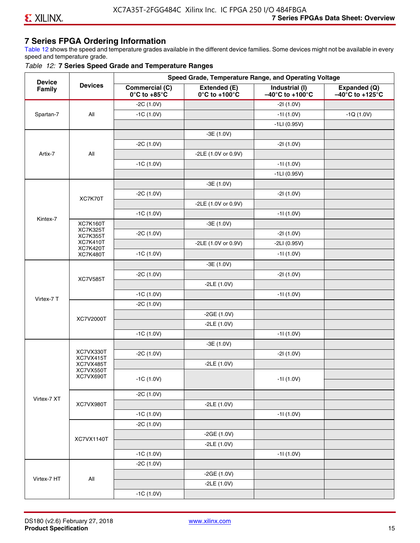## **7 Series FPGA Ordering Information**

Table 12 shows the speed and temperature grades available in the different device families. Some devices might not be available in every speed and temperature grade.

#### *Table 12:* **7 Series Speed Grade and Temperature Ranges**

| <b>Device</b> |                                    |                                                        |                                                    | Speed Grade, Temperature Range, and Operating Voltage  |                                                      |
|---------------|------------------------------------|--------------------------------------------------------|----------------------------------------------------|--------------------------------------------------------|------------------------------------------------------|
| Family        | <b>Devices</b>                     | <b>Commercial (C)</b><br>$0^\circ$ C to +85 $^\circ$ C | Extended (E)<br>$0^{\circ}$ C to +100 $^{\circ}$ C | Industrial (I)<br>$-40^{\circ}$ C to +100 $^{\circ}$ C | Expanded (Q)<br>$-40^{\circ}$ C to +125 $^{\circ}$ C |
|               |                                    | $-2C(1.0V)$                                            |                                                    | $-21(1.0V)$                                            |                                                      |
| Spartan-7     | All                                | $-1C(1.0V)$                                            |                                                    | $-11(1.0V)$                                            | $-1Q(1.0V)$                                          |
|               |                                    |                                                        |                                                    | $-1LI(0.95V)$                                          |                                                      |
|               |                                    |                                                        | $-3E(1.0V)$                                        |                                                        |                                                      |
|               |                                    | $-2C(1.0V)$                                            |                                                    | $-21(1.0V)$                                            |                                                      |
| Artix-7       | All                                |                                                        | -2LE (1.0V or 0.9V)                                |                                                        |                                                      |
|               |                                    | $-1C(1.0V)$                                            |                                                    | $-11(1.0V)$                                            |                                                      |
|               |                                    |                                                        |                                                    | $-1LI(0.95V)$                                          |                                                      |
|               |                                    |                                                        | $-3E(1.0V)$                                        |                                                        |                                                      |
|               | XC7K70T                            | $-2C(1.0V)$                                            |                                                    | $-21(1.0V)$                                            |                                                      |
|               |                                    |                                                        | -2LE (1.0V or 0.9V)                                |                                                        |                                                      |
|               |                                    | $-1C(1.0V)$                                            |                                                    | $-11(1.0V)$                                            |                                                      |
| Kintex-7      | <b>XC7K160T</b>                    |                                                        | $-3E(1.0V)$                                        |                                                        |                                                      |
|               | <b>XC7K325T</b><br><b>XC7K355T</b> | $-2C(1.0V)$                                            |                                                    | $-21(1.0V)$                                            |                                                      |
|               | <b>XC7K410T</b>                    |                                                        | -2LE (1.0V or 0.9V)                                | $-2LI(0.95V)$                                          |                                                      |
|               | <b>XC7K420T</b><br><b>XC7K480T</b> | $-1C(1.0V)$                                            |                                                    | $-11(1.0V)$                                            |                                                      |
|               |                                    |                                                        | $-3E(1.0V)$                                        |                                                        |                                                      |
|               |                                    | $-2C(1.0V)$                                            |                                                    | $-21(1.0V)$                                            |                                                      |
|               | <b>XC7V585T</b>                    |                                                        | $-2LE(1.0V)$                                       |                                                        |                                                      |
|               |                                    | $-1C(1.0V)$                                            |                                                    | $-11(1.0V)$                                            |                                                      |
| Virtex-7 T    |                                    | $-2C(1.0V)$                                            |                                                    |                                                        |                                                      |
|               |                                    |                                                        | $-2GE(1.0V)$                                       |                                                        |                                                      |
|               | XC7V2000T                          |                                                        | $-2LE(1.0V)$                                       |                                                        |                                                      |
|               |                                    | $-1C(1.0V)$                                            |                                                    | $-11(1.0V)$                                            |                                                      |
|               |                                    |                                                        | $-3E(1.0V)$                                        |                                                        |                                                      |
|               | XC7VX330T                          | $-2C(1.0V)$                                            |                                                    | $-21(1.0V)$                                            |                                                      |
|               | XC7VX415T<br>XC7VX485T             |                                                        | $-2LE(1.0V)$                                       |                                                        |                                                      |
|               | XC7VX550T<br>XC7VX690T             |                                                        |                                                    |                                                        |                                                      |
|               |                                    | $-1C(1.0V)$                                            |                                                    | $-11(1.0V)$                                            |                                                      |
|               |                                    | $-2C(1.0V)$                                            |                                                    |                                                        |                                                      |
| Virtex-7 XT   | XC7VX980T                          |                                                        | $-2LE(1.0V)$                                       |                                                        |                                                      |
|               |                                    | $-1C(1.0V)$                                            |                                                    | $-11(1.0V)$                                            |                                                      |
|               |                                    | $-2C(1.0V)$                                            |                                                    |                                                        |                                                      |
|               |                                    |                                                        | $-2GE(1.0V)$                                       |                                                        |                                                      |
|               | XC7VX1140T                         |                                                        | $-2LE(1.0V)$                                       |                                                        |                                                      |
|               |                                    | $-1C(1.0V)$                                            |                                                    | $-11(1.0V)$                                            |                                                      |
|               |                                    | $-2C(1.0V)$                                            |                                                    |                                                        |                                                      |
|               |                                    |                                                        | $-2GE(1.0V)$                                       |                                                        |                                                      |
| Virtex-7 HT   | All                                |                                                        | $-2LE(1.0V)$                                       |                                                        |                                                      |
|               |                                    | $-1C(1.0V)$                                            |                                                    |                                                        |                                                      |
|               |                                    |                                                        |                                                    |                                                        |                                                      |

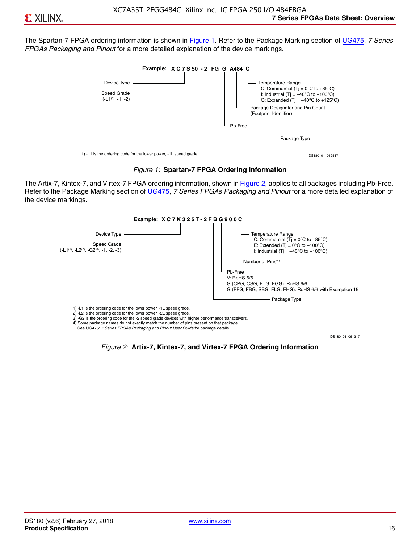The Spartan-7 FPGA ordering information is shown in Figure 1. Refer to the Package Marking section of [UG475,](http://www.xilinx.com/support/documentation/user_guides/ug475_7Series_Pkg_Pinout.pdf) *7 Series FPGAs Packaging and Pinout* for a more detailed explanation of the device markings.





The Artix-7, Kintex-7, and Virtex-7 FPGA ordering information, shown in Figure 2, applies to all packages including Pb-Free. Refer to the Package Marking section of [UG475](http://www.xilinx.com/support/documentation/user_guides/ug475_7Series_Pkg_Pinout.pdf), *7 Series FPGAs Packaging and Pinout* for a more detailed explanation of the device markings.



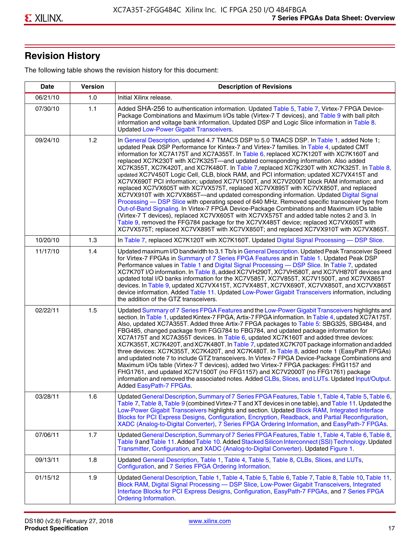## **Revision History**

The following table shows the revision history for this document:

| <b>Date</b> | <b>Version</b> | <b>Description of Revisions</b>                                                                                                                                                                                                                                                                                                                                                                                                                                                                                                                                                                                                                                                                                                                                                                                                                                                                                                                                                                                                                                                                                                                                                                                                                                                                                       |
|-------------|----------------|-----------------------------------------------------------------------------------------------------------------------------------------------------------------------------------------------------------------------------------------------------------------------------------------------------------------------------------------------------------------------------------------------------------------------------------------------------------------------------------------------------------------------------------------------------------------------------------------------------------------------------------------------------------------------------------------------------------------------------------------------------------------------------------------------------------------------------------------------------------------------------------------------------------------------------------------------------------------------------------------------------------------------------------------------------------------------------------------------------------------------------------------------------------------------------------------------------------------------------------------------------------------------------------------------------------------------|
| 06/21/10    | 1.0            | Initial Xilinx release.                                                                                                                                                                                                                                                                                                                                                                                                                                                                                                                                                                                                                                                                                                                                                                                                                                                                                                                                                                                                                                                                                                                                                                                                                                                                                               |
| 07/30/10    | 1.1            | Added SHA-256 to authentication information. Updated Table 5, Table 7, Virtex-7 FPGA Device-<br>Package Combinations and Maximum I/Os table (Virtex-7 T devices), and Table 9 with ball pitch<br>information and voltage bank information. Updated DSP and Logic Slice information in Table 8.<br><b>Updated Low-Power Gigabit Transceivers.</b>                                                                                                                                                                                                                                                                                                                                                                                                                                                                                                                                                                                                                                                                                                                                                                                                                                                                                                                                                                      |
| 09/24/10    | 1.2            | In General Description, updated 4.7 TMACS DSP to 5.0 TMACS DSP. In Table 1, added Note 1;<br>updated Peak DSP Performance for Kintex-7 and Virtex-7 families. In Table 4, updated CMT<br>information for XC7A175T and XC7A355T. In Table 6, replaced XC7K120T with XC7K160T and<br>replaced XC7K230T with XC7K325T-and updated corresponding information. Also added<br>XC7K355T, XC7K420T, and XC7K480T. In Table 7, replaced XC7K230T with XC7K325T. In Table 8,<br>updated XC7V450T Logic Cell, CLB, block RAM, and PCI information; updated XC7VX415T and<br>XC7VX690T PCI information; updated XC7V1500T, and XC7V2000T block RAM information; and<br>replaced XC7VX605T with XC7VX575T, replaced XC7VX895T with XC7VX850T, and replaced<br>XC7VX910T with XC7VX865T—and updated corresponding information. Updated Digital Signal<br>Processing - DSP Slice with operating speed of 640 MHz. Removed specific transceiver type from<br>Out-of-Band Signaling. In Virtex-7 FPGA Device-Package Combinations and Maximum I/Os table<br>(Virtex-7 T devices), replaced XC7VX605T with XC7VX575T and added table notes 2 and 3. In<br>Table 9, removed the FFG784 package for the XC7VX485T device; replaced XC7VX605T with<br>XC7VX575T; replaced XC7VX895T with XC7VX850T; and replaced XC7VX910T with XC7VX865T. |
| 10/20/10    | 1.3            | In Table 7, replaced XC7K120T with XC7K160T. Updated Digital Signal Processing - DSP Slice.                                                                                                                                                                                                                                                                                                                                                                                                                                                                                                                                                                                                                                                                                                                                                                                                                                                                                                                                                                                                                                                                                                                                                                                                                           |
| 11/17/10    | 1.4            | Updated maximum I/O bandwidth to 3.1 Tb/s in General Description. Updated Peak Transceiver Speed<br>for Virtex-7 FPGAs in Summary of 7 Series FPGA Features and in Table 1. Updated Peak DSP<br>Performance values in Table 1 and Digital Signal Processing - DSP Slice. In Table 7, updated<br>XC7K70T I/O information. In Table 8, added XC7VH290T, XC7VH580T, and XC7VH870T devices and<br>updated total I/O banks information for the XC7V585T, XC7V855T, XC7V1500T, and XC7VX865T<br>devices. In Table 9, updated XC7VX415T, XC7VX485T, XC7VX690T, XC7VX850T, and XC7VX865T<br>device information. Added Table 11. Updated Low-Power Gigabit Transceivers information, including<br>the addition of the GTZ transceivers.                                                                                                                                                                                                                                                                                                                                                                                                                                                                                                                                                                                        |
| 02/22/11    | 1.5            | Updated Summary of 7 Series FPGA Features and the Low-Power Gigabit Transceivers highlights and<br>section. In Table 1, updated Kintex-7 FPGA, Artix-7 FPGA information. In Table 4, updated XC7A175T.<br>Also, updated XC7A355T. Added three Artix-7 FPGA packages to Table 5: SBG325, SBG484, and<br>FBG485, changed package from FGG784 to FBG784, and updated package information for<br>XC7A175T and XC7A355T devices. In Table 6, updated XC7K160T and added three devices:<br>XC7K355T, XC7K420T, and XC7K480T. In Table 7, updated XC7K70T package information and added<br>three devices: XC7K355T, XC7K420T, and XC7K480T. In Table 8, added note 1 (EasyPath FPGAs)<br>and updated note 7 to include GTZ transceivers. In Virtex-7 FPGA Device-Package Combinations and<br>Maximum I/Os table (Virtex-7 T devices), added two Virtex-7 FPGA packages: FHG1157 and<br>FHG1761, and updated XC7V1500T (no FFG1157) and XC7V2000T (no FFG1761) package<br>information and removed the associated notes. Added CLBs, Slices, and LUTs. Updated Input/Output.<br>Added EasyPath-7 FPGAs.                                                                                                                                                                                                                        |
| 03/28/11    | 1.6            | Updated General Description, Summary of 7 Series FPGA Features, Table 1, Table 4, Table 5, Table 6,<br>Table 7, Table 8, Table 9 (combined Virtex-7 T and XT devices in one table), and Table 11. Updated the<br>Low-Power Gigabit Transceivers highlights and section. Updated Block RAM, Integrated Interface<br>Blocks for PCI Express Designs, Configuration, Encryption, Readback, and Partial Reconfiguration,<br>XADC (Analog-to-Digital Converter), 7 Series FPGA Ordering Information, and EasyPath-7 FPGAs.                                                                                                                                                                                                                                                                                                                                                                                                                                                                                                                                                                                                                                                                                                                                                                                                 |
| 07/06/11    | 1.7            | Updated General Description, Summary of 7 Series FPGA Features, Table 1, Table 4, Table 6, Table 8,<br>Table 9 and Table 11. Added Table 10. Added Stacked Silicon Interconnect (SSI) Technology. Updated<br>Transmitter, Configuration, and XADC (Analog-to-Digital Converter). Updated Figure 1.                                                                                                                                                                                                                                                                                                                                                                                                                                                                                                                                                                                                                                                                                                                                                                                                                                                                                                                                                                                                                    |
| 09/13/11    | 1.8            | Updated General Description, Table 1, Table 4, Table 5, Table 8, CLBs, Slices, and LUTs,<br>Configuration, and 7 Series FPGA Ordering Information.                                                                                                                                                                                                                                                                                                                                                                                                                                                                                                                                                                                                                                                                                                                                                                                                                                                                                                                                                                                                                                                                                                                                                                    |
| 01/15/12    | 1.9            | Updated General Description, Table 1, Table 4, Table 5, Table 6, Table 7, Table 8, Table 10, Table 11,<br>Block RAM, Digital Signal Processing - DSP Slice, Low-Power Gigabit Transceivers, Integrated<br>Interface Blocks for PCI Express Designs, Configuration, EasyPath-7 FPGAs, and 7 Series FPGA<br><b>Ordering Information.</b>                                                                                                                                                                                                                                                                                                                                                                                                                                                                                                                                                                                                                                                                                                                                                                                                                                                                                                                                                                                |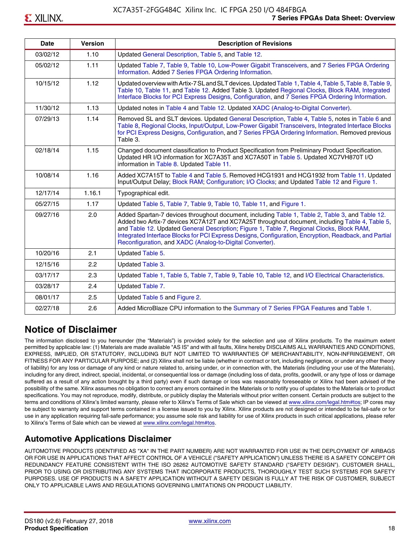| <b>Date</b> | <b>Version</b> | <b>Description of Revisions</b>                                                                                                                                                                                                                                                                                                                                                                                                                                     |
|-------------|----------------|---------------------------------------------------------------------------------------------------------------------------------------------------------------------------------------------------------------------------------------------------------------------------------------------------------------------------------------------------------------------------------------------------------------------------------------------------------------------|
| 03/02/12    | 1.10           | Updated General Description, Table 5, and Table 12.                                                                                                                                                                                                                                                                                                                                                                                                                 |
| 05/02/12    | 1.11           | Updated Table 7, Table 9, Table 10, Low-Power Gigabit Transceivers, and 7 Series FPGA Ordering<br>Information. Added 7 Series FPGA Ordering Information.                                                                                                                                                                                                                                                                                                            |
| 10/15/12    | 1.12           | Updated overview with Artix-7 SL and SLT devices. Updated Table 1, Table 4, Table 5, Table 8, Table 9,<br>Table 10, Table 11, and Table 12. Added Table 3. Updated Regional Clocks, Block RAM, Integrated<br>Interface Blocks for PCI Express Designs, Configuration, and 7 Series FPGA Ordering Information.                                                                                                                                                       |
| 11/30/12    | 1.13           | Updated notes in Table 4 and Table 12. Updated XADC (Analog-to-Digital Converter).                                                                                                                                                                                                                                                                                                                                                                                  |
| 07/29/13    | 1.14           | Removed SL and SLT devices. Updated General Description, Table 4, Table 5, notes in Table 6 and<br>Table 8, Regional Clocks, Input/Output, Low-Power Gigabit Transceivers, Integrated Interface Blocks<br>for PCI Express Designs, Configuration, and 7 Series FPGA Ordering Information. Removed previous<br>Table 3.                                                                                                                                              |
| 02/18/14    | 1.15           | Changed document classification to Product Specification from Preliminary Product Specification.<br>Updated HR I/O information for XC7A35T and XC7A50T in Table 5. Updated XC7VH870T I/O<br>information in Table 8. Updated Table 11.                                                                                                                                                                                                                               |
| 10/08/14    | 1.16           | Added XC7A15T to Table 4 and Table 5. Removed HCG1931 and HCG1932 from Table 11. Updated<br>Input/Output Delay; Block RAM; Configuration; I/O Clocks; and Updated Table 12 and Figure 1.                                                                                                                                                                                                                                                                            |
| 12/17/14    | 1.16.1         | Typographical edit.                                                                                                                                                                                                                                                                                                                                                                                                                                                 |
| 05/27/15    | 1.17           | Updated Table 5, Table 7, Table 9, Table 10, Table 11, and Figure 1.                                                                                                                                                                                                                                                                                                                                                                                                |
| 09/27/16    | 2.0            | Added Spartan-7 devices throughout document, including Table 1, Table 2, Table 3, and Table 12.<br>Added two Artix-7 devices XC7A12T and XC7A25T throughout document, including Table 4, Table 5,<br>and Table 12. Updated General Description; Figure 1, Table 7, Regional Clocks, Block RAM,<br>Integrated Interface Blocks for PCI Express Designs, Configuration, Encryption, Readback, and Partial<br>Reconfiguration, and XADC (Analog-to-Digital Converter). |
| 10/20/16    | 2.1            | Updated Table 5.                                                                                                                                                                                                                                                                                                                                                                                                                                                    |
| 12/15/16    | 2.2            | Updated Table 3.                                                                                                                                                                                                                                                                                                                                                                                                                                                    |
| 03/17/17    | 2.3            | Updated Table 1, Table 5, Table 7, Table 9, Table 10, Table 12, and I/O Electrical Characteristics.                                                                                                                                                                                                                                                                                                                                                                 |
| 03/28/17    | 2.4            | Updated Table 7.                                                                                                                                                                                                                                                                                                                                                                                                                                                    |
| 08/01/17    | 2.5            | Updated Table 5 and Figure 2.                                                                                                                                                                                                                                                                                                                                                                                                                                       |
| 02/27/18    | 2.6            | Added MicroBlaze CPU information to the Summary of 7 Series FPGA Features and Table 1.                                                                                                                                                                                                                                                                                                                                                                              |

## **Notice of Disclaimer**

The information disclosed to you hereunder (the "Materials") is provided solely for the selection and use of Xilinx products. To the maximum extent permitted by applicable law: (1) Materials are made available "AS IS" and with all faults, Xilinx hereby DISCLAIMS ALL WARRANTIES AND CONDITIONS, EXPRESS, IMPLIED, OR STATUTORY, INCLUDING BUT NOT LIMITED TO WARRANTIES OF MERCHANTABILITY, NON-INFRINGEMENT, OR FITNESS FOR ANY PARTICULAR PURPOSE; and (2) Xilinx shall not be liable (whether in contract or tort, including negligence, or under any other theory of liability) for any loss or damage of any kind or nature related to, arising under, or in connection with, the Materials (including your use of the Materials), including for any direct, indirect, special, incidental, or consequential loss or damage (including loss of data, profits, goodwill, or any type of loss or damage suffered as a result of any action brought by a third party) even if such damage or loss was reasonably foreseeable or Xilinx had been advised of the possibility of the same. Xilinx assumes no obligation to correct any errors contained in the Materials or to notify you of updates to the Materials or to product specifications. You may not reproduce, modify, distribute, or publicly display the Materials without prior written consent. Certain products are subject to the terms and conditions of Xilinx's limited warranty, please refer to Xilinx's Terms of Sale which can be viewed at [www.xilinx.com/legal.htm#tos;](www.xilinx.com/legal.htm#tos) IP cores may be subject to warranty and support terms contained in a license issued to you by Xilinx. Xilinx products are not designed or intended to be fail-safe or for use in any application requiring fail-safe performance; you assume sole risk and liability for use of Xilinx products in such critical applications, please refer to Xilinx's Terms of Sale which can be viewed at <www.xilinx.com/legal.htm#tos>.

## **Automotive Applications Disclaimer**

AUTOMOTIVE PRODUCTS (IDENTIFIED AS "XA" IN THE PART NUMBER) ARE NOT WARRANTED FOR USE IN THE DEPLOYMENT OF AIRBAGS OR FOR USE IN APPLICATIONS THAT AFFECT CONTROL OF A VEHICLE ("SAFETY APPLICATION") UNLESS THERE IS A SAFETY CONCEPT OR REDUNDANCY FEATURE CONSISTENT WITH THE ISO 26262 AUTOMOTIVE SAFETY STANDARD ("SAFETY DESIGN"). CUSTOMER SHALL, PRIOR TO USING OR DISTRIBUTING ANY SYSTEMS THAT INCORPORATE PRODUCTS, THOROUGHLY TEST SUCH SYSTEMS FOR SAFETY PURPOSES. USE OF PRODUCTS IN A SAFETY APPLICATION WITHOUT A SAFETY DESIGN IS FULLY AT THE RISK OF CUSTOMER, SUBJECT ONLY TO APPLICABLE LAWS AND REGULATIONS GOVERNING LIMITATIONS ON PRODUCT LIABILITY.